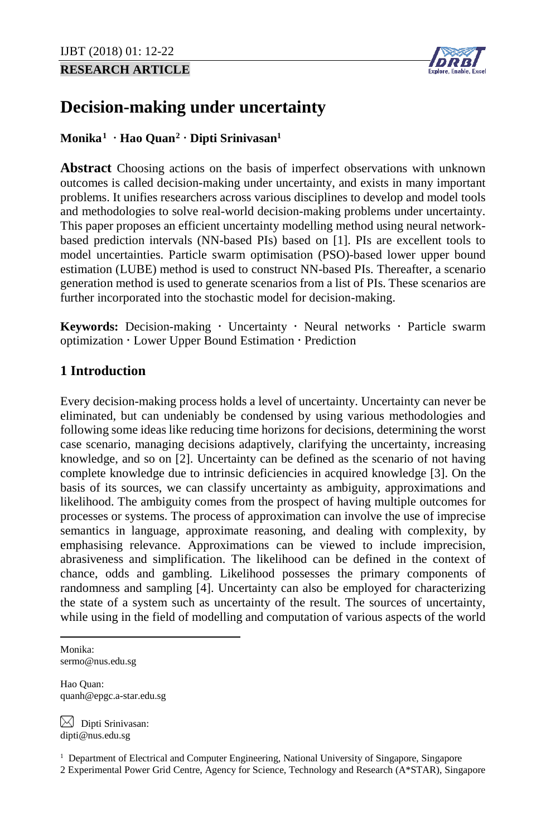# **RESEARCH ARTICLE**



# **Decision-making under uncertainty**

## <span id="page-0-0"></span>**Monika[1](#page-0-1) Hao Quan[2](#page-0-2) Dipti Srinivasa[n1](#page-0-0)**

**Abstract** Choosing actions on the basis of imperfect observations with unknown outcomes is called decision-making under uncertainty, and exists in many important problems. It unifies researchers across various disciplines to develop and model tools and methodologies to solve real-world decision-making problems under uncertainty. This paper proposes an efficient uncertainty modelling method using neural networkbased prediction intervals (NN-based PIs) based on [1]. PIs are excellent tools to model uncertainties. Particle swarm optimisation (PSO)-based lower upper bound estimation (LUBE) method is used to construct NN-based PIs. Thereafter, a scenario generation method is used to generate scenarios from a list of PIs. These scenarios are further incorporated into the stochastic model for decision-making.

Keywords: Decision-making · Uncertainty · Neural networks · Particle swarm optimization · Lower Upper Bound Estimation · Prediction

## **1 Introduction**

Every decision-making process holds a level of uncertainty. Uncertainty can never be eliminated, but can undeniably be condensed by using various methodologies and following some ideas like reducing time horizons for decisions, determining the worst case scenario, managing decisions adaptively, clarifying the uncertainty, increasing knowledge, and so on [2]. Uncertainty can be defined as the scenario of not having complete knowledge due to intrinsic deficiencies in acquired knowledge [3]. On the basis of its sources, we can classify uncertainty as ambiguity, approximations and likelihood. The ambiguity comes from the prospect of having multiple outcomes for processes or systems. The process of approximation can involve the use of imprecise semantics in language, approximate reasoning, and dealing with complexity, by emphasising relevance. Approximations can be viewed to include imprecision, abrasiveness and simplification. The likelihood can be defined in the context of chance, odds and gambling. Likelihood possesses the primary components of randomness and sampling [4]. Uncertainty can also be employed for characterizing the state of a system such as uncertainty of the result. The sources of uncertainty, while using in the field of modelling and computation of various aspects of the world

<span id="page-0-1"></span>Monika: sermo@nus.edu.sg

l

Hao Quan: quanh@epgc.a-star.edu.sg

 $\boxtimes$  Dipti Srinivasan: dipti@nus.edu.sg

<span id="page-0-2"></span><sup>1</sup> Department of Electrical and Computer Engineering, National University of Singapore, Singapore 2 Experimental Power Grid Centre, Agency for Science, Technology and Research (A\*STAR), Singapore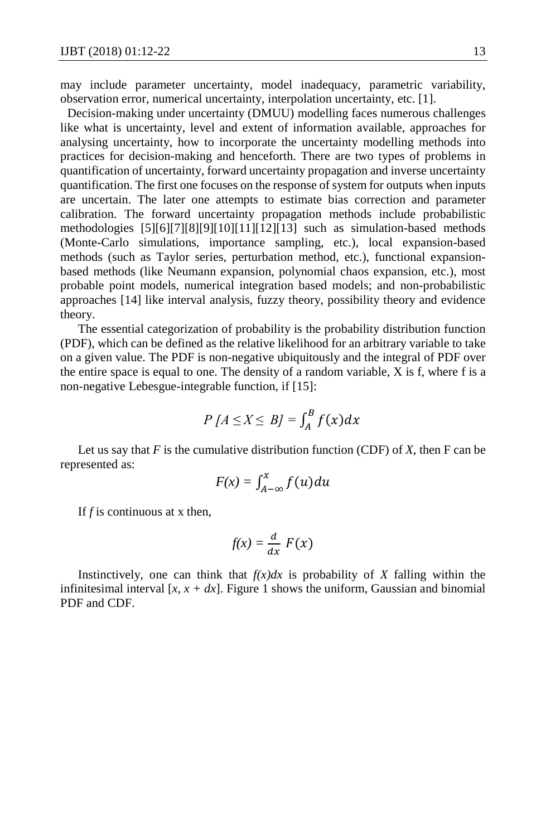may include parameter uncertainty, model inadequacy, parametric variability, observation error, numerical uncertainty, interpolation uncertainty, etc. [1].

Decision-making under uncertainty (DMUU) modelling faces numerous challenges like what is uncertainty, level and extent of information available, approaches for analysing uncertainty, how to incorporate the uncertainty modelling methods into practices for decision-making and henceforth. There are two types of problems in quantification of uncertainty, forward uncertainty propagation and inverse uncertainty quantification. The first one focuses on the response of system for outputs when inputs are uncertain. The later one attempts to estimate bias correction and parameter calibration. The forward uncertainty propagation methods include probabilistic methodologies [5][6][7][8][9][10][11][12][13] such as simulation-based methods (Monte-Carlo simulations, importance sampling, etc.), local expansion-based methods (such as Taylor series, perturbation method, etc.), functional expansionbased methods (like Neumann expansion, polynomial chaos expansion, etc.), most probable point models, numerical integration based models; and non-probabilistic approaches [14] like interval analysis, fuzzy theory, possibility theory and evidence theory.

The essential categorization of probability is the probability distribution function (PDF), which can be defined as the relative likelihood for an arbitrary variable to take on a given value. The PDF is non-negative ubiquitously and the integral of PDF over the entire space is equal to one. The density of a random variable, X is f, where f is a non-negative Lebesgue-integrable function, if [15]:

$$
P[A \le X \le B] = \int_A^B f(x) dx
$$

Let us say that  $F$  is the cumulative distribution function (CDF) of  $X$ , then  $F$  can be represented as:

$$
F(x) = \int_{A-\infty}^{x} f(u) du
$$

If *f* is continuous at x then,

$$
f(x) = \frac{d}{dx} F(x)
$$

Instinctively, one can think that  $f(x)dx$  is probability of X falling within the infinitesimal interval  $[x, x + dx]$ . Figure 1 shows the uniform, Gaussian and binomial PDF and CDF.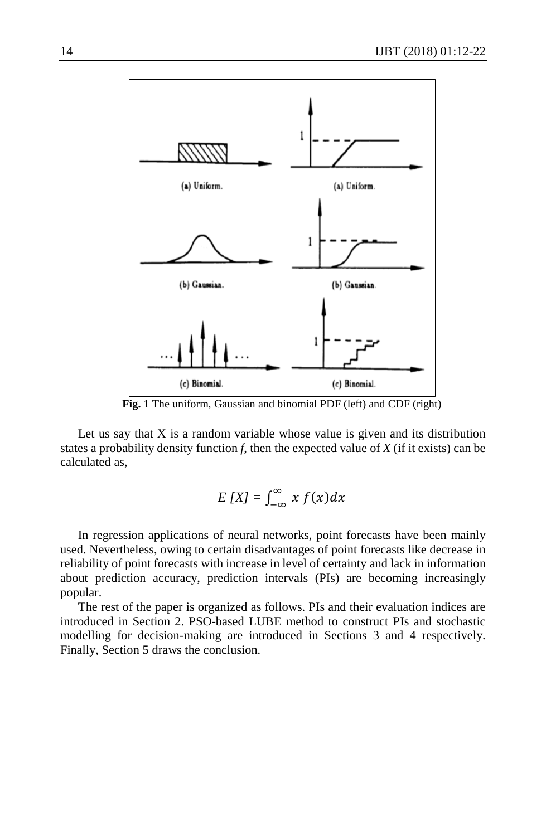

**Fig. 1** The uniform, Gaussian and binomial PDF (left) and CDF (right)

Let us say that  $X$  is a random variable whose value is given and its distribution states a probability density function *f*, then the expected value of *X* (if it exists) can be calculated as,

$$
E[X] = \int_{-\infty}^{\infty} x f(x) dx
$$

In regression applications of neural networks, point forecasts have been mainly used. Nevertheless, owing to certain disadvantages of point forecasts like decrease in reliability of point forecasts with increase in level of certainty and lack in information about prediction accuracy, prediction intervals (PIs) are becoming increasingly popular.

The rest of the paper is organized as follows. PIs and their evaluation indices are introduced in Section 2. PSO-based LUBE method to construct PIs and stochastic modelling for decision-making are introduced in Sections 3 and 4 respectively. Finally, Section 5 draws the conclusion.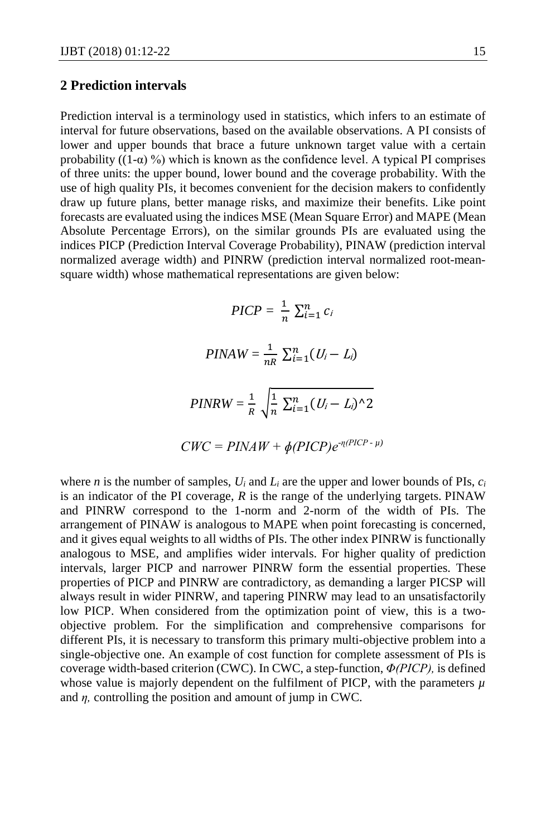#### **2 Prediction intervals**

Prediction interval is a terminology used in statistics, which infers to an estimate of interval for future observations, based on the available observations. A PI consists of lower and upper bounds that brace a future unknown target value with a certain probability  $((1-\alpha)$ %) which is known as the confidence level. A typical PI comprises of three units: the upper bound, lower bound and the coverage probability. With the use of high quality PIs, it becomes convenient for the decision makers to confidently draw up future plans, better manage risks, and maximize their benefits. Like point forecasts are evaluated using the indices MSE (Mean Square Error) and MAPE (Mean Absolute Percentage Errors), on the similar grounds PIs are evaluated using the indices PICP (Prediction Interval Coverage Probability), PINAW (prediction interval normalized average width) and PINRW (prediction interval normalized root-meansquare width) whose mathematical representations are given below:

$$
PICP = \frac{1}{n} \sum_{i=1}^{n} c_i
$$

$$
PINAW = \frac{1}{nR} \sum_{i=1}^{n} (U_i - L_i)
$$

$$
PINRW = \frac{1}{R} \sqrt{\frac{1}{n} \sum_{i=1}^{n} (U_i - L_i)^{\wedge} 2}
$$

$$
CWC = PINAW + \phi(PICP)e^{\eta(PICP - \mu)}
$$

where *n* is the number of samples, *Ui* and *Li* are the upper and lower bounds of PIs, *ci* is an indicator of the PI coverage, *R* is the range of the underlying targets. PINAW and PINRW correspond to the 1-norm and 2-norm of the width of PIs. The arrangement of PINAW is analogous to MAPE when point forecasting is concerned, and it gives equal weights to all widths of PIs. The other index PINRW is functionally analogous to MSE, and amplifies wider intervals. For higher quality of prediction intervals, larger PICP and narrower PINRW form the essential properties. These properties of PICP and PINRW are contradictory, as demanding a larger PICSP will always result in wider PINRW, and tapering PINRW may lead to an unsatisfactorily low PICP. When considered from the optimization point of view, this is a twoobjective problem. For the simplification and comprehensive comparisons for different PIs, it is necessary to transform this primary multi-objective problem into a single-objective one. An example of cost function for complete assessment of PIs is coverage width-based criterion (CWC). In CWC, a step-function, *Φ(PICP),* is defined whose value is majorly dependent on the fulfilment of PICP, with the parameters *µ* and *η,* controlling the position and amount of jump in CWC.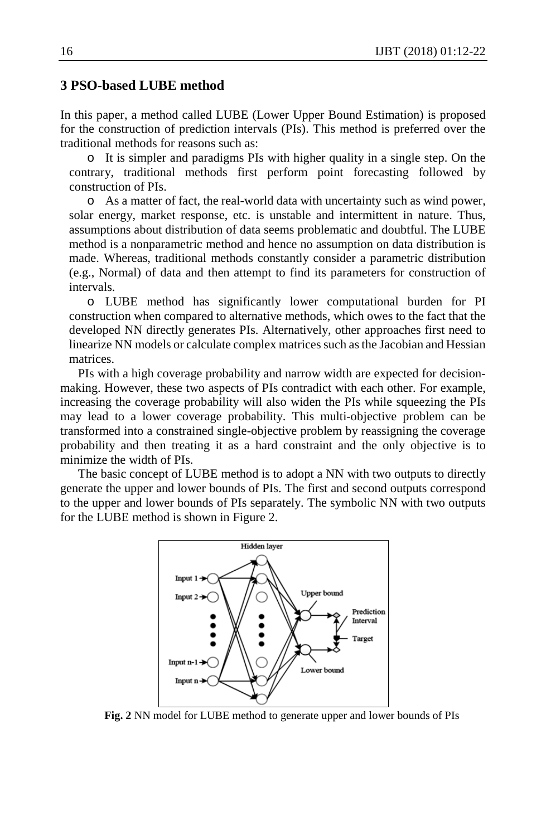#### **3 PSO-based LUBE method**

In this paper, a method called LUBE (Lower Upper Bound Estimation) is proposed for the construction of prediction intervals (PIs). This method is preferred over the traditional methods for reasons such as:

o It is simpler and paradigms PIs with higher quality in a single step. On the contrary, traditional methods first perform point forecasting followed by construction of PIs.

o As a matter of fact, the real-world data with uncertainty such as wind power, solar energy, market response, etc. is unstable and intermittent in nature. Thus, assumptions about distribution of data seems problematic and doubtful. The LUBE method is a nonparametric method and hence no assumption on data distribution is made. Whereas, traditional methods constantly consider a parametric distribution (e.g., Normal) of data and then attempt to find its parameters for construction of intervals.

o LUBE method has significantly lower computational burden for PI construction when compared to alternative methods, which owes to the fact that the developed NN directly generates PIs. Alternatively, other approaches first need to linearize NN models or calculate complex matrices such as the Jacobian and Hessian matrices.

PIs with a high coverage probability and narrow width are expected for decisionmaking. However, these two aspects of PIs contradict with each other. For example, increasing the coverage probability will also widen the PIs while squeezing the PIs may lead to a lower coverage probability. This multi-objective problem can be transformed into a constrained single-objective problem by reassigning the coverage probability and then treating it as a hard constraint and the only objective is to minimize the width of PIs.

The basic concept of LUBE method is to adopt a NN with two outputs to directly generate the upper and lower bounds of PIs. The first and second outputs correspond to the upper and lower bounds of PIs separately. The symbolic NN with two outputs for the LUBE method is shown in Figure 2.



**Fig. 2** NN model for LUBE method to generate upper and lower bounds of PIs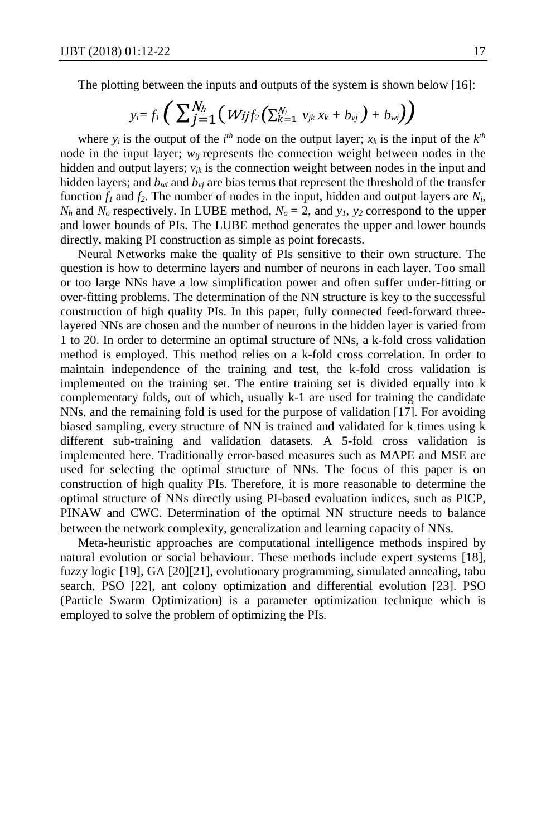The plotting between the inputs and outputs of the system is shown below [16]:

$$
y_i = f_1 \left( \sum_{j=1}^{N_h} \left( W_{ij} f_2 \left( \sum_{k=1}^{N_i} v_{jk} x_k + b_{vj} \right) + b_{wi} \right) \right)
$$

where  $y_i$  is the output of the  $i^{th}$  node on the output layer;  $x_k$  is the input of the  $k^{th}$ node in the input layer;  $w_{ij}$  represents the connection weight between nodes in the hidden and output layers;  $v_{ik}$  is the connection weight between nodes in the input and hidden layers; and  $b_{wi}$  and  $b_{yi}$  are bias terms that represent the threshold of the transfer function  $f_1$  and  $f_2$ . The number of nodes in the input, hidden and output layers are  $N_i$ ,  $N_h$  and  $N_o$  respectively. In LUBE method,  $N_o = 2$ , and  $y_1$ ,  $y_2$  correspond to the upper and lower bounds of PIs. The LUBE method generates the upper and lower bounds directly, making PI construction as simple as point forecasts.

Neural Networks make the quality of PIs sensitive to their own structure. The question is how to determine layers and number of neurons in each layer. Too small or too large NNs have a low simplification power and often suffer under-fitting or over-fitting problems. The determination of the NN structure is key to the successful construction of high quality PIs. In this paper, fully connected feed-forward threelayered NNs are chosen and the number of neurons in the hidden layer is varied from 1 to 20. In order to determine an optimal structure of NNs, a k-fold cross validation method is employed. This method relies on a k-fold cross correlation. In order to maintain independence of the training and test, the k-fold cross validation is implemented on the training set. The entire training set is divided equally into k complementary folds, out of which, usually k-1 are used for training the candidate NNs, and the remaining fold is used for the purpose of validation [17]. For avoiding biased sampling, every structure of NN is trained and validated for k times using k different sub-training and validation datasets. A 5-fold cross validation is implemented here. Traditionally error-based measures such as MAPE and MSE are used for selecting the optimal structure of NNs. The focus of this paper is on construction of high quality PIs. Therefore, it is more reasonable to determine the optimal structure of NNs directly using PI-based evaluation indices, such as PICP, PINAW and CWC. Determination of the optimal NN structure needs to balance between the network complexity, generalization and learning capacity of NNs.

Meta-heuristic approaches are computational intelligence methods inspired by natural evolution or social behaviour. These methods include expert systems [18], fuzzy logic [19], GA [20][21], evolutionary programming, simulated annealing, tabu search, PSO [22], ant colony optimization and differential evolution [23]. PSO (Particle Swarm Optimization) is a parameter optimization technique which is employed to solve the problem of optimizing the PIs.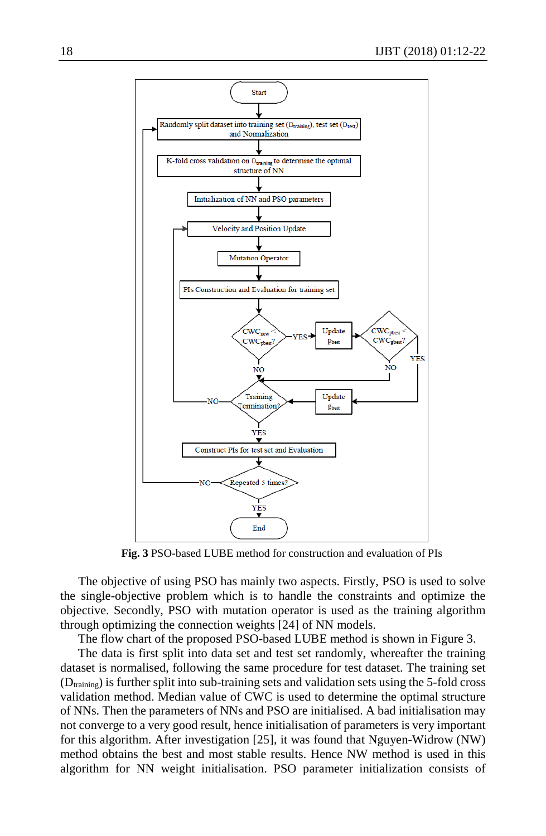

**Fig. 3** PSO-based LUBE method for construction and evaluation of PIs

The objective of using PSO has mainly two aspects. Firstly, PSO is used to solve the single-objective problem which is to handle the constraints and optimize the objective. Secondly, PSO with mutation operator is used as the training algorithm through optimizing the connection weights [24] of NN models.

The flow chart of the proposed PSO-based LUBE method is shown in Figure 3.

The data is first split into data set and test set randomly, whereafter the training dataset is normalised, following the same procedure for test dataset. The training set  $(D_{\text{training}})$  is further split into sub-training sets and validation sets using the 5-fold cross validation method. Median value of CWC is used to determine the optimal structure of NNs. Then the parameters of NNs and PSO are initialised. A bad initialisation may not converge to a very good result, hence initialisation of parameters is very important for this algorithm. After investigation [25], it was found that Nguyen-Widrow (NW) method obtains the best and most stable results. Hence NW method is used in this algorithm for NN weight initialisation. PSO parameter initialization consists of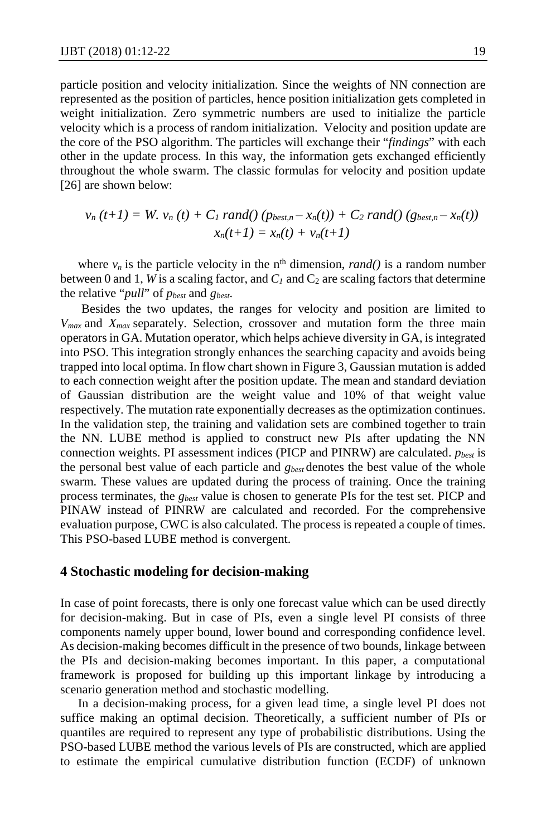particle position and velocity initialization. Since the weights of NN connection are represented as the position of particles, hence position initialization gets completed in weight initialization. Zero symmetric numbers are used to initialize the particle velocity which is a process of random initialization. Velocity and position update are the core of the PSO algorithm. The particles will exchange their "*findings*" with each other in the update process. In this way, the information gets exchanged efficiently throughout the whole swarm. The classic formulas for velocity and position update [26] are shown below:

$$
v_n(t+1) = W. v_n(t) + C_1 \, rand() \, (p_{best,n} - x_n(t)) + C_2 \, rand() \, (g_{best,n} - x_n(t))
$$

$$
x_n(t+1) = x_n(t) + v_n(t+1)
$$

where  $v_n$  is the particle velocity in the n<sup>th</sup> dimension, *rand()* is a random number between 0 and 1, *W* is a scaling factor, and  $C_1$  and  $C_2$  are scaling factors that determine the relative "*pull*" of *pbest* and *gbest*.

Besides the two updates, the ranges for velocity and position are limited to *Vmax* and *Xmax* separately. Selection, crossover and mutation form the three main operators in GA. Mutation operator, which helps achieve diversity in GA, is integrated into PSO. This integration strongly enhances the searching capacity and avoids being trapped into local optima. In flow chart shown in Figure 3, Gaussian mutation is added to each connection weight after the position update. The mean and standard deviation of Gaussian distribution are the weight value and 10% of that weight value respectively. The mutation rate exponentially decreases as the optimization continues. In the validation step, the training and validation sets are combined together to train the NN. LUBE method is applied to construct new PIs after updating the NN connection weights. PI assessment indices (PICP and PINRW) are calculated. *pbest* is the personal best value of each particle and *gbest* denotes the best value of the whole swarm. These values are updated during the process of training. Once the training process terminates, the *gbest* value is chosen to generate PIs for the test set. PICP and PINAW instead of PINRW are calculated and recorded. For the comprehensive evaluation purpose, CWC is also calculated. The process is repeated a couple of times. This PSO-based LUBE method is convergent.

#### **4 Stochastic modeling for decision-making**

In case of point forecasts, there is only one forecast value which can be used directly for decision-making. But in case of PIs, even a single level PI consists of three components namely upper bound, lower bound and corresponding confidence level. As decision-making becomes difficult in the presence of two bounds, linkage between the PIs and decision-making becomes important. In this paper, a computational framework is proposed for building up this important linkage by introducing a scenario generation method and stochastic modelling.

In a decision-making process, for a given lead time, a single level PI does not suffice making an optimal decision. Theoretically, a sufficient number of PIs or quantiles are required to represent any type of probabilistic distributions. Using the PSO-based LUBE method the various levels of PIs are constructed, which are applied to estimate the empirical cumulative distribution function (ECDF) of unknown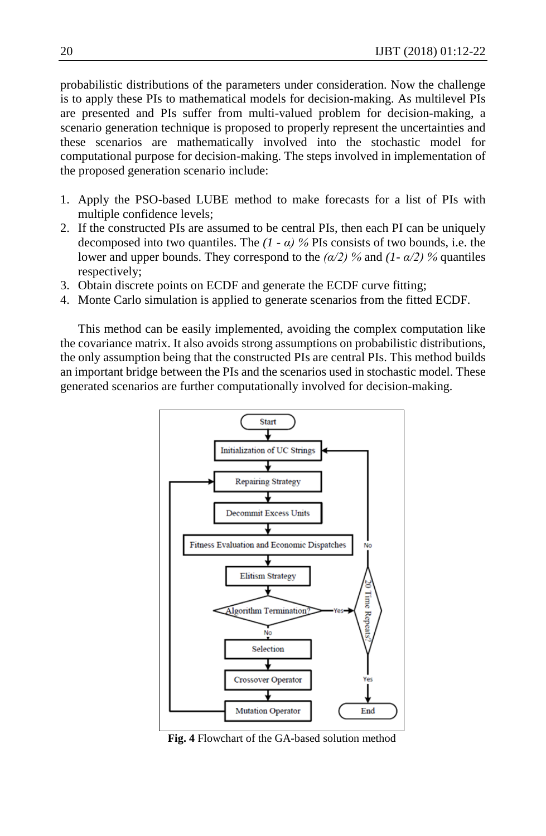probabilistic distributions of the parameters under consideration. Now the challenge is to apply these PIs to mathematical models for decision-making. As multilevel PIs are presented and PIs suffer from multi-valued problem for decision-making, a scenario generation technique is proposed to properly represent the uncertainties and these scenarios are mathematically involved into the stochastic model for computational purpose for decision-making. The steps involved in implementation of the proposed generation scenario include:

- 1. Apply the PSO-based LUBE method to make forecasts for a list of PIs with multiple confidence levels;
- 2. If the constructed PIs are assumed to be central PIs, then each PI can be uniquely decomposed into two quantiles. The  $(1 - \alpha)$  % PIs consists of two bounds, i.e. the lower and upper bounds. They correspond to the *(α/2) %* and *(1- α/2) %* quantiles respectively;
- 3. Obtain discrete points on ECDF and generate the ECDF curve fitting;
- 4. Monte Carlo simulation is applied to generate scenarios from the fitted ECDF.

This method can be easily implemented, avoiding the complex computation like the covariance matrix. It also avoids strong assumptions on probabilistic distributions, the only assumption being that the constructed PIs are central PIs. This method builds an important bridge between the PIs and the scenarios used in stochastic model. These generated scenarios are further computationally involved for decision-making.



**Fig. 4** Flowchart of the GA-based solution method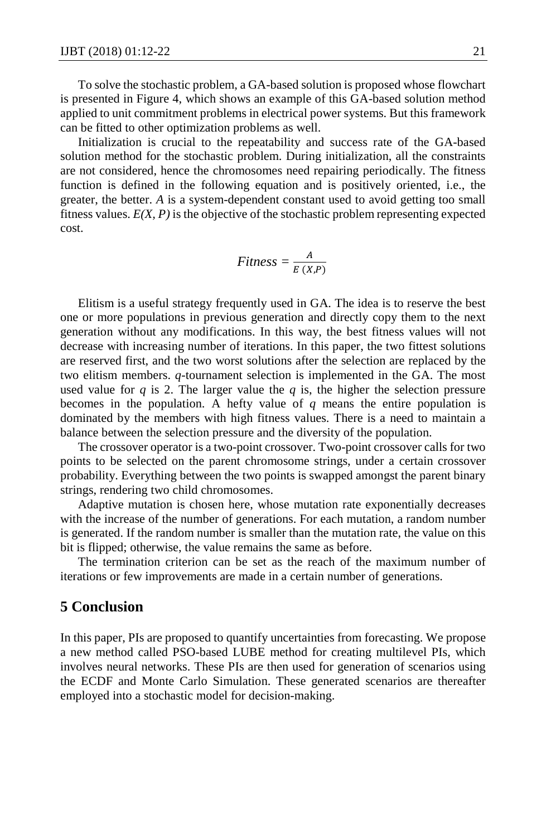To solve the stochastic problem, a GA-based solution is proposed whose flowchart is presented in Figure 4, which shows an example of this GA-based solution method applied to unit commitment problems in electrical power systems. But this framework can be fitted to other optimization problems as well.

Initialization is crucial to the repeatability and success rate of the GA-based solution method for the stochastic problem. During initialization, all the constraints are not considered, hence the chromosomes need repairing periodically. The fitness function is defined in the following equation and is positively oriented, i.e., the greater, the better. *A* is a system-dependent constant used to avoid getting too small fitness values. *E(X, P)* is the objective of the stochastic problem representing expected cost.

$$
Fitness = \frac{A}{E(X,P)}
$$

Elitism is a useful strategy frequently used in GA. The idea is to reserve the best one or more populations in previous generation and directly copy them to the next generation without any modifications. In this way, the best fitness values will not decrease with increasing number of iterations. In this paper, the two fittest solutions are reserved first, and the two worst solutions after the selection are replaced by the two elitism members. *q*-tournament selection is implemented in the GA. The most used value for  $q$  is 2. The larger value the  $q$  is, the higher the selection pressure becomes in the population. A hefty value of *q* means the entire population is dominated by the members with high fitness values. There is a need to maintain a balance between the selection pressure and the diversity of the population.

The crossover operator is a two-point crossover. Two-point crossover calls for two points to be selected on the parent chromosome strings, under a certain crossover probability. Everything between the two points is swapped amongst the parent binary strings, rendering two child chromosomes.

Adaptive mutation is chosen here, whose mutation rate exponentially decreases with the increase of the number of generations. For each mutation, a random number is generated. If the random number is smaller than the mutation rate, the value on this bit is flipped; otherwise, the value remains the same as before.

The termination criterion can be set as the reach of the maximum number of iterations or few improvements are made in a certain number of generations.

### **5 Conclusion**

In this paper, PIs are proposed to quantify uncertainties from forecasting. We propose a new method called PSO-based LUBE method for creating multilevel PIs, which involves neural networks. These PIs are then used for generation of scenarios using the ECDF and Monte Carlo Simulation. These generated scenarios are thereafter employed into a stochastic model for decision-making.